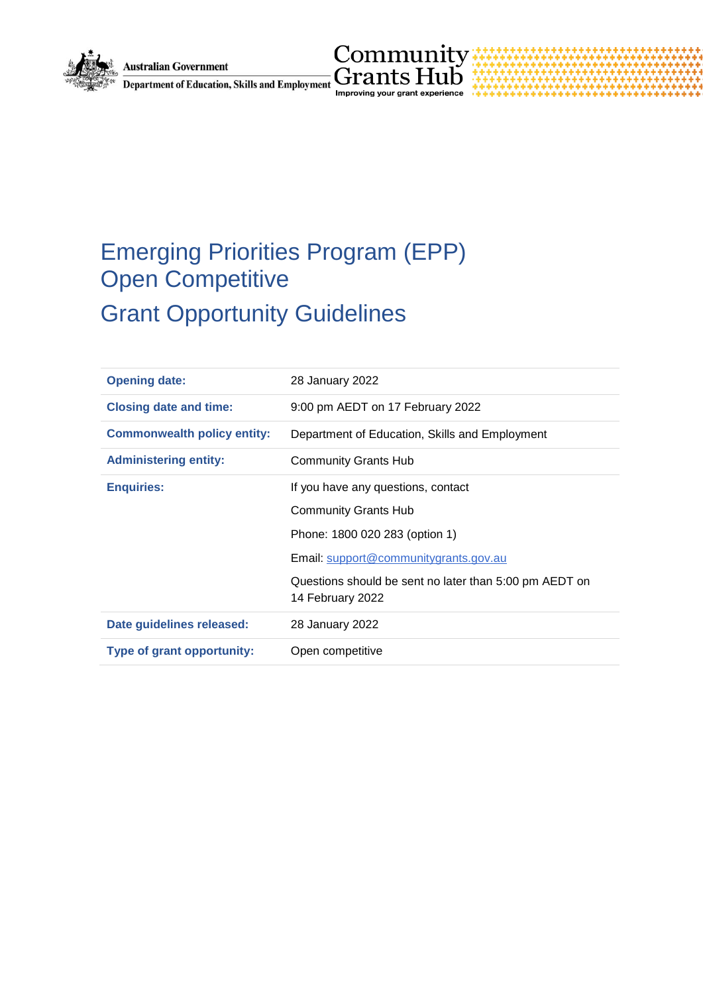

 $\underset{\text{Department of Education, Skills and Employment}}{\text{Maximumity}} \underset{\text{Improving your grant experience}}{\text{Common}}$ 

# Emerging Priorities Program (EPP) Open Competitive Grant Opportunity Guidelines

| <b>Opening date:</b>               | 28 January 2022                                                            |
|------------------------------------|----------------------------------------------------------------------------|
| <b>Closing date and time:</b>      | 9:00 pm AEDT on 17 February 2022                                           |
| <b>Commonwealth policy entity:</b> | Department of Education, Skills and Employment                             |
| <b>Administering entity:</b>       | <b>Community Grants Hub</b>                                                |
| <b>Enquiries:</b>                  | If you have any questions, contact                                         |
|                                    | <b>Community Grants Hub</b>                                                |
|                                    | Phone: 1800 020 283 (option 1)                                             |
|                                    | Email: support@communitygrants.gov.au                                      |
|                                    | Questions should be sent no later than 5:00 pm AEDT on<br>14 February 2022 |
| Date guidelines released:          | 28 January 2022                                                            |
| Type of grant opportunity:         | Open competitive                                                           |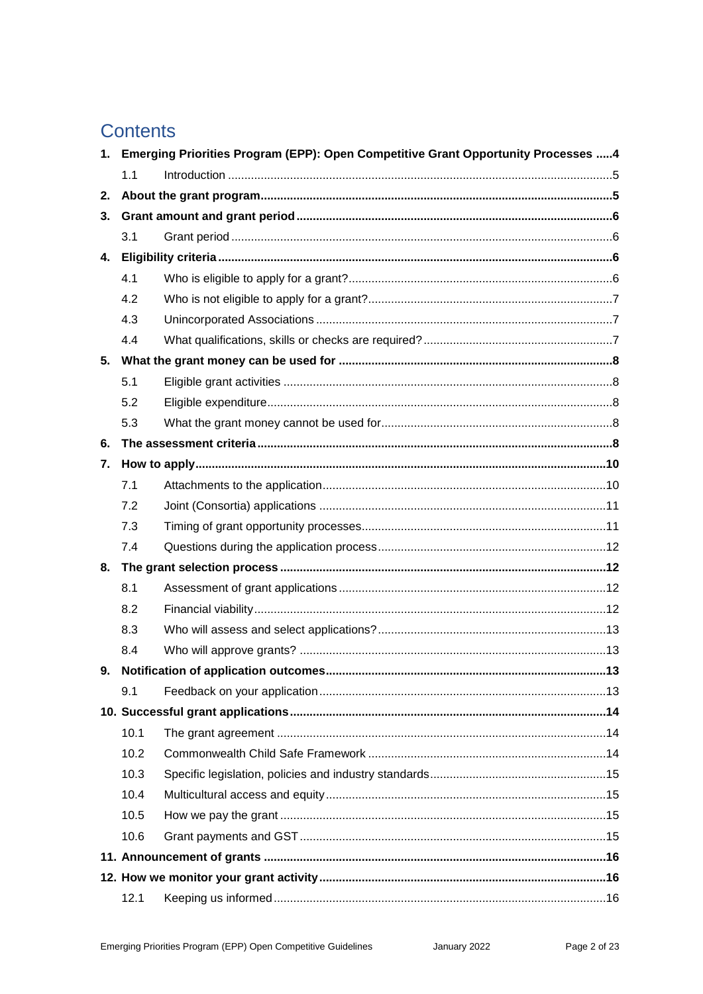# **Contents**

| 1. | Emerging Priorities Program (EPP): Open Competitive Grant Opportunity Processes 4 |                                      |     |
|----|-----------------------------------------------------------------------------------|--------------------------------------|-----|
|    | 1.1                                                                               |                                      |     |
| 2. |                                                                                   |                                      |     |
| 3. |                                                                                   |                                      |     |
|    | 3.1                                                                               |                                      |     |
| 4. |                                                                                   |                                      |     |
|    | 4.1                                                                               |                                      |     |
|    | 4.2                                                                               |                                      |     |
|    | 4.3                                                                               |                                      |     |
|    | 4.4                                                                               |                                      |     |
| 5. |                                                                                   |                                      |     |
|    | 5.1                                                                               |                                      |     |
|    | 5.2                                                                               |                                      |     |
|    | 5.3                                                                               |                                      |     |
| 6. |                                                                                   |                                      |     |
| 7. |                                                                                   |                                      |     |
|    | 7.1                                                                               |                                      |     |
|    | 7.2                                                                               |                                      |     |
|    | 7.3                                                                               |                                      |     |
|    | 7.4                                                                               |                                      |     |
| 8. |                                                                                   |                                      |     |
|    | 8.1                                                                               |                                      |     |
|    | 8.2                                                                               |                                      |     |
|    | 8.3                                                                               |                                      |     |
|    | 8.4                                                                               |                                      |     |
| 9. |                                                                                   | Notification of application outcomes | .13 |
|    | 9.1                                                                               |                                      |     |
|    |                                                                                   |                                      |     |
|    | 10.1                                                                              |                                      |     |
|    | 10.2                                                                              |                                      |     |
|    | 10.3                                                                              |                                      |     |
|    | 10.4                                                                              |                                      |     |
|    | 10.5                                                                              |                                      |     |
|    | 10.6                                                                              |                                      |     |
|    |                                                                                   |                                      |     |
|    |                                                                                   |                                      |     |
|    | 12.1                                                                              |                                      |     |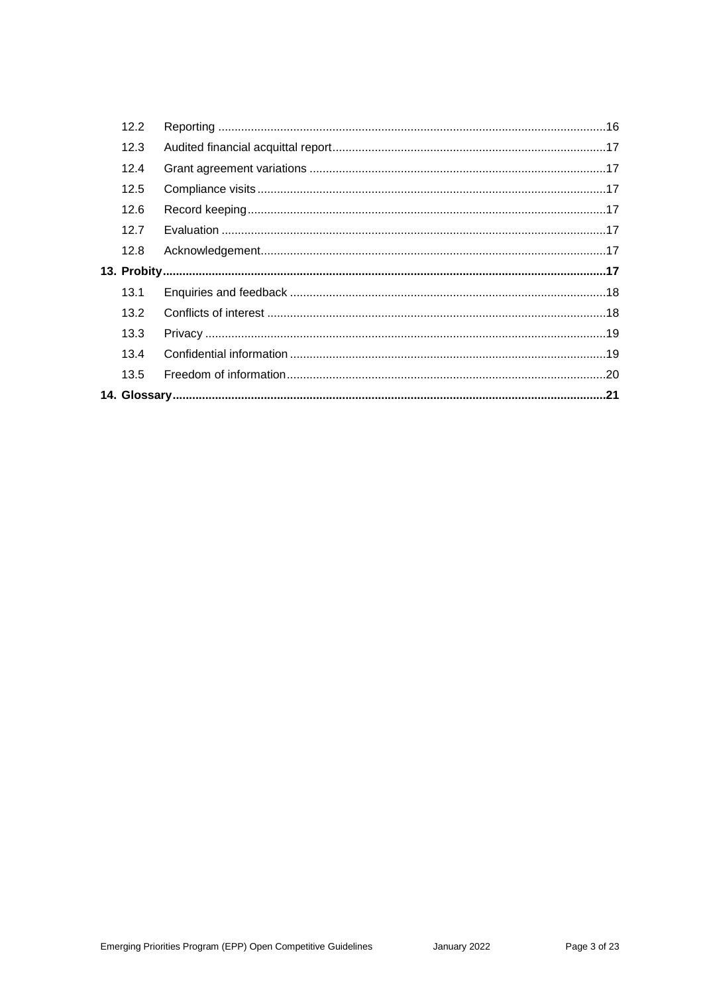| 12.2 |  |
|------|--|
| 12.3 |  |
| 12.4 |  |
| 12.5 |  |
| 12.6 |  |
| 12.7 |  |
| 12.8 |  |
|      |  |
| 13.1 |  |
| 13.2 |  |
| 13.3 |  |
| 13.4 |  |
| 13.5 |  |
|      |  |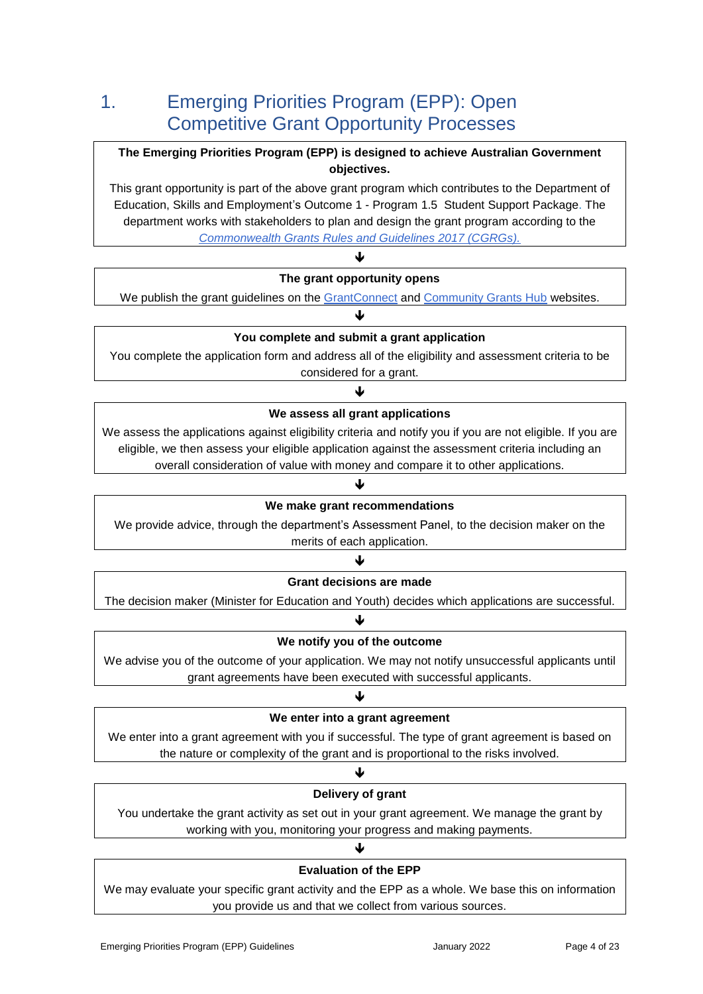# 1. Emerging Priorities Program (EPP): Open Competitive Grant Opportunity Processes

### **The Emerging Priorities Program (EPP) is designed to achieve Australian Government objectives.**

This grant opportunity is part of the above grant program which contributes to the Department of Education, Skills and Employment's Outcome 1 - Program 1.5 Student Support Package. The department works with stakeholders to plan and design the grant program according to the *[Commonwealth Grants Rules and Guidelines 2017 \(CGRGs\).](https://finance.govcms.gov.au/sites/default/files/2019-11/commonwealth-grants-rules-and-guidelines.pdf)*

### $\blacktriangledown$ **The grant opportunity opens**

We publish the grant guidelines on the [GrantConnect](http://www.grants.gov.au/) and [Community Grants Hub](https://www.communitygrants.gov.au/) websites. J

### **You complete and submit a grant application**

You complete the application form and address all of the eligibility and assessment criteria to be considered for a grant.

# ↓ **We assess all grant applications**

We assess the applications against eligibility criteria and notify you if you are not eligible. If you are eligible, we then assess your eligible application against the assessment criteria including an overall consideration of value with money and compare it to other applications.

### ↓

### **We make grant recommendations**

We provide advice, through the department's Assessment Panel, to the decision maker on the merits of each application.

### Ψ **Grant decisions are made**

The decision maker (Minister for Education and Youth) decides which applications are successful. ↓

### **We notify you of the outcome**

We advise you of the outcome of your application. We may not notify unsuccessful applicants until grant agreements have been executed with successful applicants.

### ↓

### **We enter into a grant agreement**

We enter into a grant agreement with you if successful. The type of grant agreement is based on the nature or complexity of the grant and is proportional to the risks involved.

# ↓ **Delivery of grant**

You undertake the grant activity as set out in your grant agreement. We manage the grant by working with you, monitoring your progress and making payments.

### **Evaluation of the EPP**

J

We may evaluate your specific grant activity and the EPP as a whole. We base this on information you provide us and that we collect from various sources.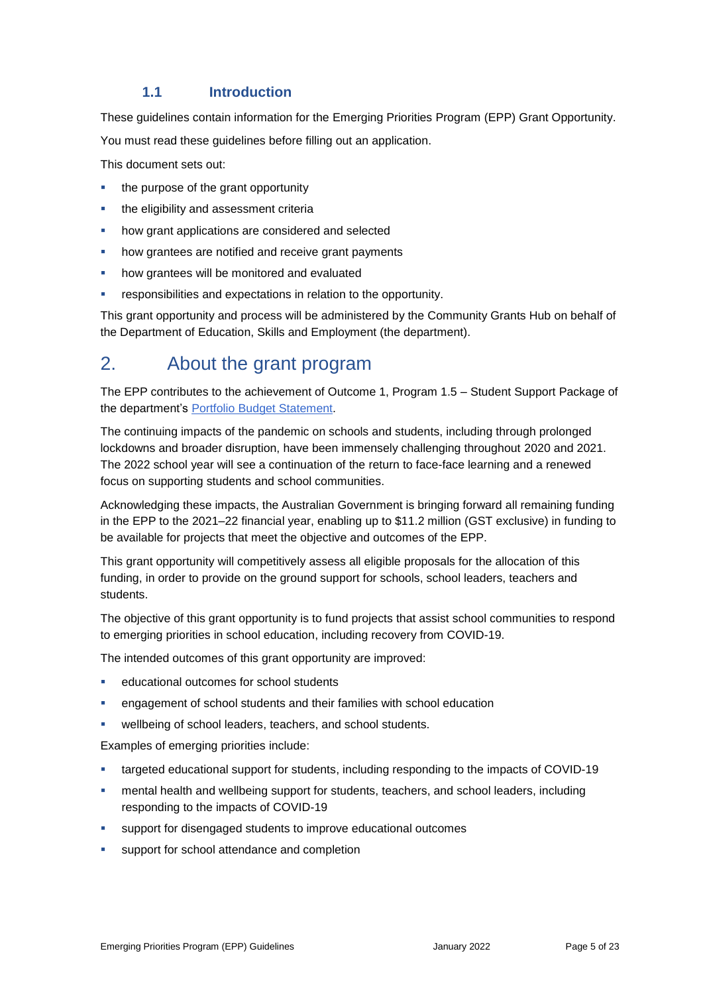### **1.1 Introduction**

These guidelines contain information for the Emerging Priorities Program (EPP) Grant Opportunity.

You must read these guidelines before filling out an application.

This document sets out:

- the purpose of the grant opportunity
- the eligibility and assessment criteria
- how grant applications are considered and selected
- how grantees are notified and receive grant payments
- how grantees will be monitored and evaluated
- responsibilities and expectations in relation to the opportunity.

This grant opportunity and process will be administered by the Community Grants Hub on behalf of the Department of Education, Skills and Employment (the department).

# 2. About the grant program

The EPP contributes to the achievement of Outcome 1, Program 1.5 – Student Support Package of the department's [Portfolio Budget Statement.](https://budget.gov.au/2021-22/content/pbs/index.htm)

The continuing impacts of the pandemic on schools and students, including through prolonged lockdowns and broader disruption, have been immensely challenging throughout 2020 and 2021. The 2022 school year will see a continuation of the return to face-face learning and a renewed focus on supporting students and school communities.

Acknowledging these impacts, the Australian Government is bringing forward all remaining funding in the EPP to the 2021–22 financial year, enabling up to \$11.2 million (GST exclusive) in funding to be available for projects that meet the objective and outcomes of the EPP.

This grant opportunity will competitively assess all eligible proposals for the allocation of this funding, in order to provide on the ground support for schools, school leaders, teachers and students.

The objective of this grant opportunity is to fund projects that assist school communities to respond to emerging priorities in school education, including recovery from COVID-19.

The intended outcomes of this grant opportunity are improved:

- educational outcomes for school students
- engagement of school students and their families with school education
- wellbeing of school leaders, teachers, and school students.

Examples of emerging priorities include:

- targeted educational support for students, including responding to the impacts of COVID-19
- mental health and wellbeing support for students, teachers, and school leaders, including responding to the impacts of COVID-19
- support for disengaged students to improve educational outcomes
- **support for school attendance and completion**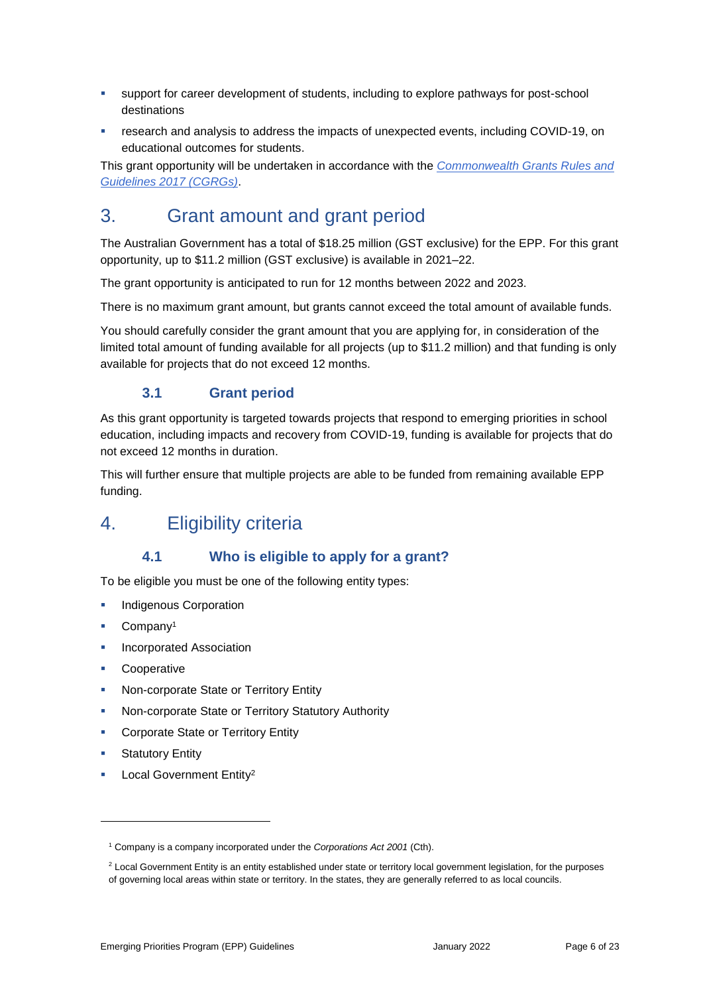- support for career development of students, including to explore pathways for post-school destinations
- research and analysis to address the impacts of unexpected events, including COVID-19, on educational outcomes for students.

This grant opportunity will be undertaken in accordance with the *[Commonwealth Grants Rules and](https://finance.govcms.gov.au/sites/default/files/2019-11/commonwealth-grants-rules-and-guidelines.pdf)  [Guidelines 2017 \(CGRGs\)](https://finance.govcms.gov.au/sites/default/files/2019-11/commonwealth-grants-rules-and-guidelines.pdf)*.

# 3. Grant amount and grant period

The Australian Government has a total of \$18.25 million (GST exclusive) for the EPP. For this grant opportunity, up to \$11.2 million (GST exclusive) is available in 2021–22.

The grant opportunity is anticipated to run for 12 months between 2022 and 2023.

There is no maximum grant amount, but grants cannot exceed the total amount of available funds.

You should carefully consider the grant amount that you are applying for, in consideration of the limited total amount of funding available for all projects (up to \$11.2 million) and that funding is only available for projects that do not exceed 12 months.

# **3.1 Grant period**

As this grant opportunity is targeted towards projects that respond to emerging priorities in school education, including impacts and recovery from COVID-19, funding is available for projects that do not exceed 12 months in duration.

This will further ensure that multiple projects are able to be funded from remaining available EPP funding.

# 4. Eligibility criteria

# **4.1 Who is eligible to apply for a grant?**

To be eligible you must be one of the following entity types:

- Indigenous Corporation
- Company<sup>1</sup>
- Incorporated Association
- **Cooperative**
- Non-corporate State or Territory Entity
- Non-corporate State or Territory Statutory Authority
- Corporate State or Territory Entity
- Statutory Entity

-

Local Government Entity<sup>2</sup>

<sup>1</sup> Company is a company incorporated under the *Corporations Act 2001* (Cth).

<sup>&</sup>lt;sup>2</sup> Local Government Entity is an entity established under state or territory local government legislation, for the purposes of governing local areas within state or territory. In the states, they are generally referred to as local councils.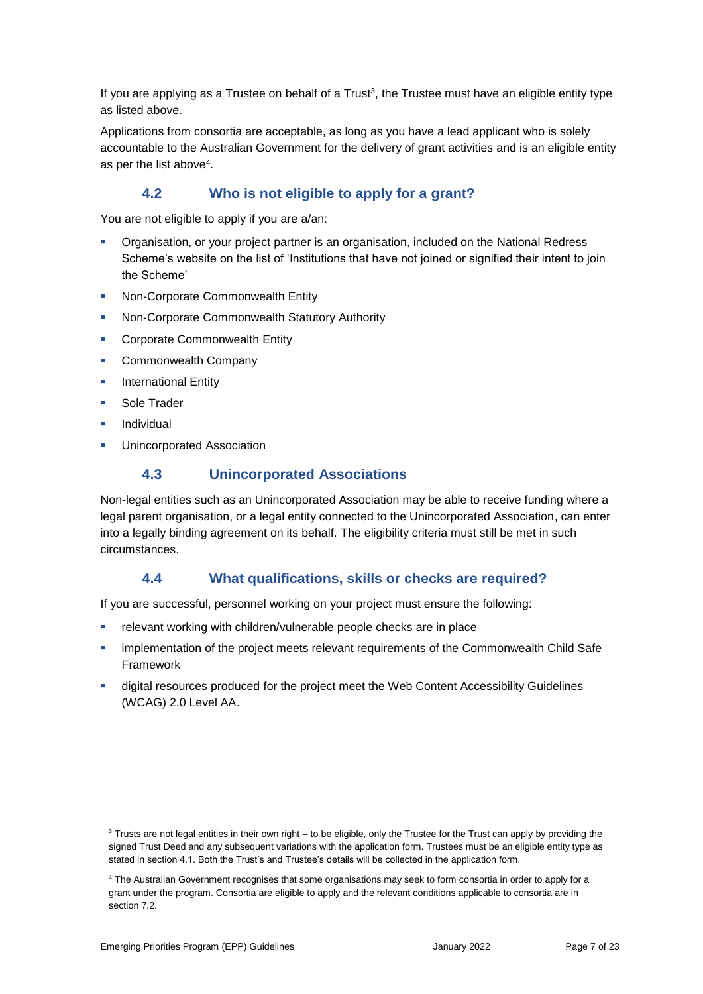If you are applying as a Trustee on behalf of a Trust<sup>3</sup>, the Trustee must have an eligible entity type as listed above.

Applications from consortia are acceptable, as long as you have a lead applicant who is solely accountable to the Australian Government for the delivery of grant activities and is an eligible entity as per the list above<sup>4</sup>.

# **4.2 Who is not eligible to apply for a grant?**

You are not eligible to apply if you are a/an:

- Organisation, or your project partner is an organisation, included on the [National Redress](https://www.nationalredress.gov.au/)  [Scheme's website](https://www.nationalredress.gov.au/) on the list of 'Institutions that have not joined or signified their intent to join the Scheme'
- **Non-Corporate Commonwealth Entity**
- Non-Corporate Commonwealth Statutory Authority
- **EXECO COMMON COMMON CONTENT**
- **Commonwealth Company**
- International Entity
- Sole Trader
- Individual

-

Unincorporated Association

# **4.3 Unincorporated Associations**

Non-legal entities such as an Unincorporated Association may be able to receive funding where a legal parent organisation, or a legal entity connected to the Unincorporated Association, can enter into a legally binding agreement on its behalf. The eligibility criteria must still be met in such circumstances.

# **4.4 What qualifications, skills or checks are required?**

If you are successful, personnel working on your project must ensure the following:

- relevant working with children/vulnerable people checks are in place
- implementation of the project meets relevant requirements of the [Commonwealth Child Safe](https://childsafety.pmc.gov.au/what-we-do/commonwealth-child-safe-framework/application-funded-third-parties)  [Framework](https://childsafety.pmc.gov.au/what-we-do/commonwealth-child-safe-framework/application-funded-third-parties)
- digital resources produced for the project meet the [Web Content Accessibility Guidelines](https://www.dta.gov.au/help-and-advice/digital-service-standard/digital-service-standard-criteria/9-make-it-accessible)  [\(WCAG\) 2.0 Level AA.](https://www.dta.gov.au/help-and-advice/digital-service-standard/digital-service-standard-criteria/9-make-it-accessible)

<sup>&</sup>lt;sup>3</sup> Trusts are not legal entities in their own right – to be eligible, only the Trustee for the Trust can apply by providing the signed Trust Deed and any subsequent variations with the application form. Trustees must be an eligible entity type as stated in section 4.1. Both the Trust's and Trustee's details will be collected in the application form.

<sup>4</sup> The Australian Government recognises that some organisations may seek to form consortia in order to apply for a grant under the program. Consortia are eligible to apply and the relevant conditions applicable to consortia are in section 7.2.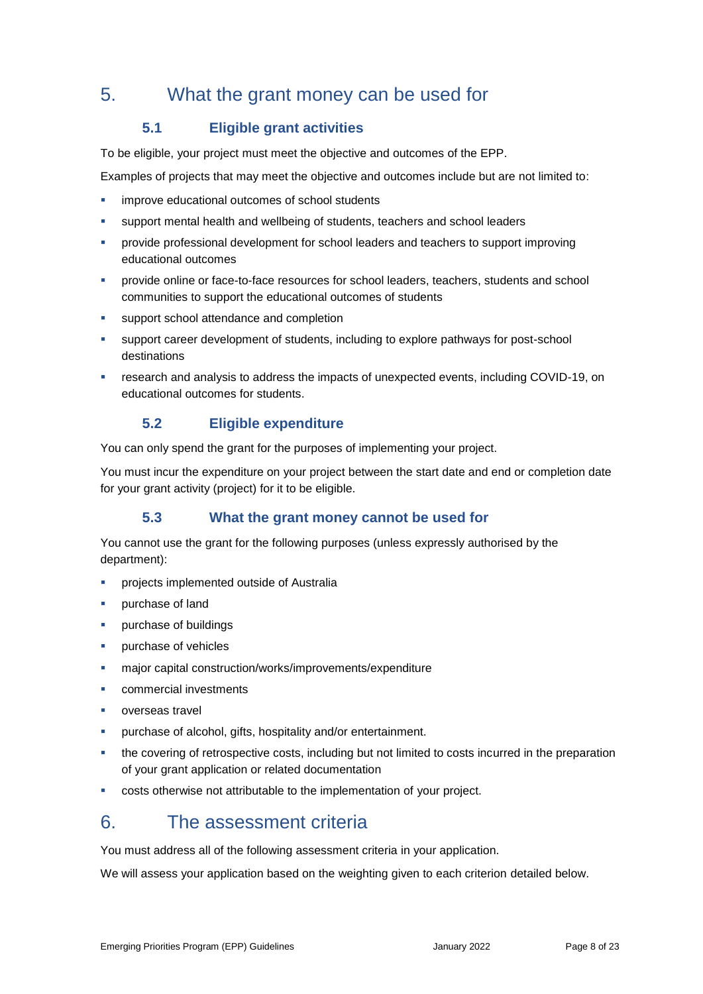# 5. What the grant money can be used for

# **5.1 Eligible grant activities**

To be eligible, your project must meet the objective and outcomes of the EPP.

Examples of projects that may meet the objective and outcomes include but are not limited to:

- **·** improve educational outcomes of school students
- support mental health and wellbeing of students, teachers and school leaders
- provide professional development for school leaders and teachers to support improving educational outcomes
- provide online or face-to-face resources for school leaders, teachers, students and school communities to support the educational outcomes of students
- support school attendance and completion
- support career development of students, including to explore pathways for post-school destinations
- research and analysis to address the impacts of unexpected events, including COVID-19, on educational outcomes for students.

# **5.2 Eligible expenditure**

You can only spend the grant for the purposes of implementing your project.

You must incur the expenditure on your project between the start date and end or completion date for your grant activity (project) for it to be eligible.

# **5.3 What the grant money cannot be used for**

You cannot use the grant for the following purposes (unless expressly authorised by the department):

- **•** projects implemented outside of Australia
- purchase of land
- **•** purchase of buildings
- purchase of vehicles
- major capital construction/works/improvements/expenditure
- commercial investments
- overseas travel
- purchase of alcohol, gifts, hospitality and/or entertainment.
- the covering of retrospective costs, including but not limited to costs incurred in the preparation of your grant application or related documentation
- costs otherwise not attributable to the implementation of your project.

# 6. The assessment criteria

You must address all of the following assessment criteria in your application.

We will assess your application based on the weighting given to each criterion detailed below.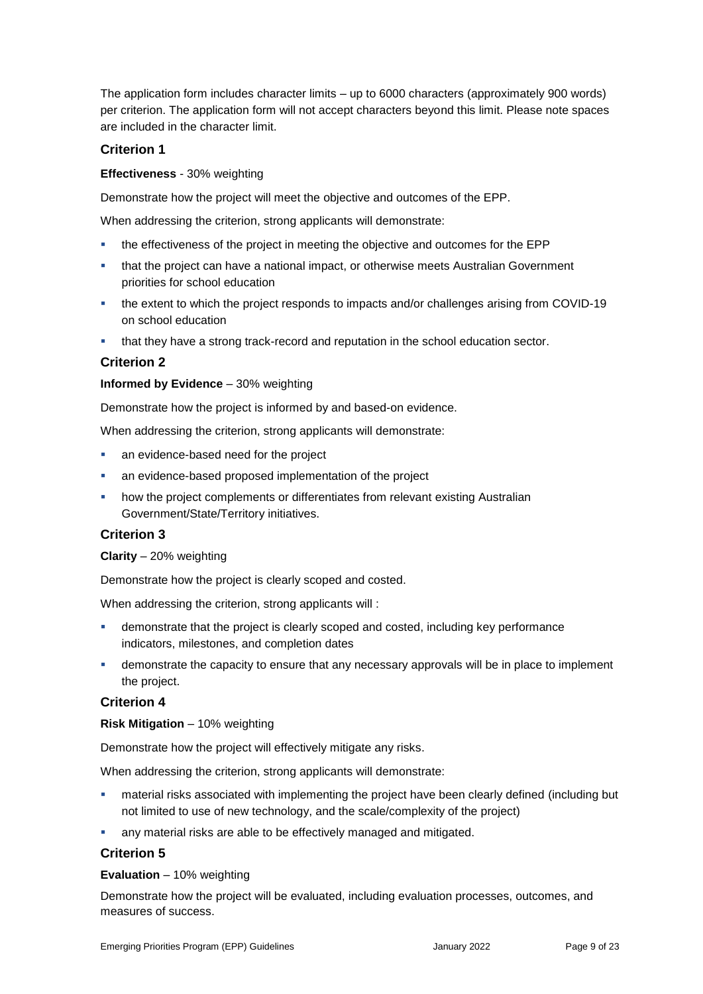The application form includes character limits – up to 6000 characters (approximately 900 words) per criterion. The application form will not accept characters beyond this limit. Please note spaces are included in the character limit.

### **Criterion 1**

#### **Effectiveness** - 30% weighting

Demonstrate how the project will meet the objective and outcomes of the EPP.

When addressing the criterion, strong applicants will demonstrate:

- the effectiveness of the project in meeting the objective and outcomes for the EPP
- that the project can have a national impact, or otherwise meets Australian Government priorities for school education
- the extent to which the project responds to impacts and/or challenges arising from COVID-19 on school education
- that they have a strong track-record and reputation in the school education sector.

### **Criterion 2**

#### **Informed by Evidence** – 30% weighting

Demonstrate how the project is informed by and based-on evidence.

When addressing the criterion, strong applicants will demonstrate:

- an evidence-based need for the project
- an evidence-based proposed implementation of the project
- how the project complements or differentiates from relevant existing Australian Government/State/Territory initiatives.

### **Criterion 3**

#### **Clarity** – 20% weighting

Demonstrate how the project is clearly scoped and costed.

When addressing the criterion, strong applicants will :

- demonstrate that the project is clearly scoped and costed, including key performance indicators, milestones, and completion dates
- **EXED** demonstrate the capacity to ensure that any necessary approvals will be in place to implement the project.

#### **Criterion 4**

#### **Risk Mitigation** – 10% weighting

Demonstrate how the project will effectively mitigate any risks.

When addressing the criterion, strong applicants will demonstrate:

- material risks associated with implementing the project have been clearly defined (including but not limited to use of new technology, and the scale/complexity of the project)
- any material risks are able to be effectively managed and mitigated.

### **Criterion 5**

#### **Evaluation** – 10% weighting

Demonstrate how the project will be evaluated, including evaluation processes, outcomes, and measures of success.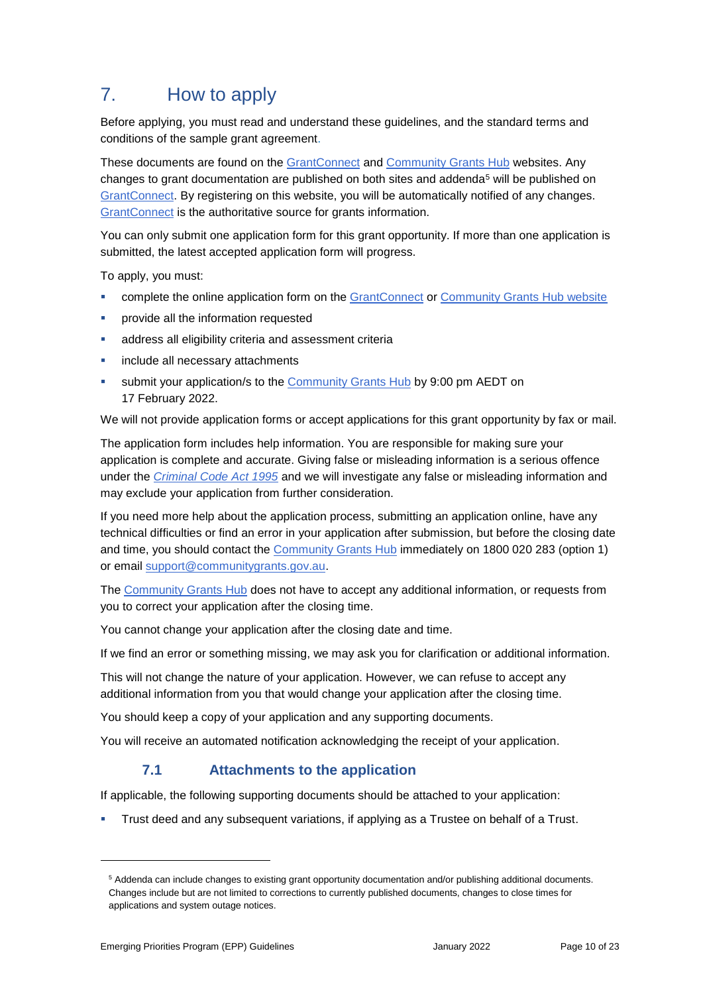# 7. How to apply

Before applying, you must read and understand these guidelines, and the standard terms and conditions of the sample grant agreement.

These documents are found on the [GrantConnect](https://www.grants.gov.au/?event=public.home) and [Community Grants Hub](https://www.communitygrants.gov.au/) websites. Any changes to grant documentation are published on both sites and addenda<sup>5</sup> will be published on [GrantConnect.](https://www.grants.gov.au/?event=public.home) By registering on this website, you will be automatically notified of any changes. [GrantConnect](https://www.grants.gov.au/?event=public.home) is the authoritative source for grants information.

You can only submit one application form for this grant opportunity. If more than one application is submitted, the latest accepted application form will progress.

To apply, you must:

- complete the online application form on the [GrantConnect](https://www.grants.gov.au/) or [Community Grants Hub website](https://www.communitygrants.gov.au/)
- provide all the information requested
- address all eligibility criteria and assessment criteria
- include all necessary attachments
- submit your application/s to the [Community Grants Hub](https://www.communitygrants.gov.au/) by 9:00 pm AEDT on 17 February 2022.

We will not provide application forms or accept applications for this grant opportunity by fax or mail.

The application form includes help information. You are responsible for making sure your application is complete and accurate. Giving false or misleading information is a serious offence under the *[Criminal Code Act 1995](http://www8.austlii.edu.au/cgi-bin/viewdoc/au/legis/cth/consol_act/cca1995115/sch1.html)* and we will investigate any false or misleading information and may exclude your application from further consideration.

If you need more help about the application process, submitting an application online, have any technical difficulties or find an error in your application after submission, but before the closing date and time, you should contact the [Community Grants Hub](https://www.communitygrants.gov.au/) immediately on 1800 020 283 (option 1) or email [support@communitygrants.gov.au.](mailto:support@communitygrants.gov.au)

The [Community Grants Hub](https://www.communitygrants.gov.au/) does not have to accept any additional information, or requests from you to correct your application after the closing time.

You cannot change your application after the closing date and time.

If we find an error or something missing, we may ask you for clarification or additional information.

This will not change the nature of your application. However, we can refuse to accept any additional information from you that would change your application after the closing time.

You should keep a copy of your application and any supporting documents.

You will receive an automated notification acknowledging the receipt of your application.

# **7.1 Attachments to the application**

If applicable, the following supporting documents should be attached to your application:

Trust deed and any subsequent variations, if applying as a Trustee on behalf of a Trust.

1

<sup>5</sup> Addenda can include changes to existing grant opportunity documentation and/or publishing additional documents. Changes include but are not limited to corrections to currently published documents, changes to close times for applications and system outage notices.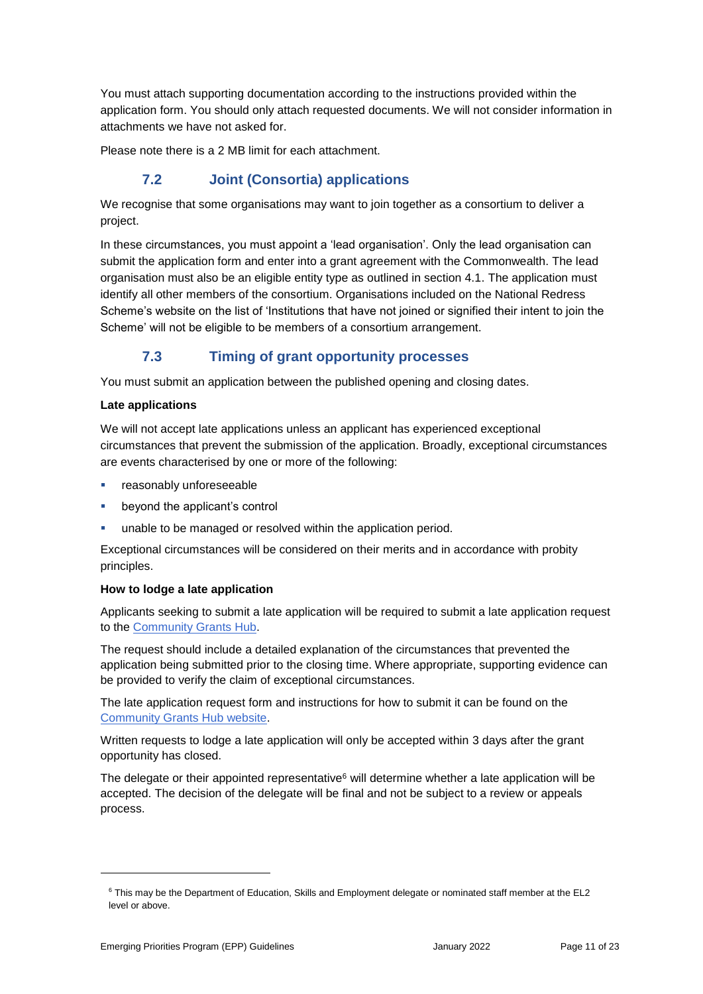You must attach supporting documentation according to the instructions provided within the application form. You should only attach requested documents. We will not consider information in attachments we have not asked for.

Please note there is a 2 MB limit for each attachment.

# **7.2 Joint (Consortia) applications**

We recognise that some organisations may want to join together as a consortium to deliver a project.

In these circumstances, you must appoint a 'lead organisation'. Only the lead organisation can submit the application form and enter into a grant agreement with the Commonwealth. The lead organisation must also be an eligible entity type as outlined in section 4.1. The application must identify all other members of the consortium. Organisations included on the National Redress Scheme's website on the list of 'Institutions that have not joined or signified their intent to join the Scheme' will not be eligible to be members of a consortium arrangement.

# **7.3 Timing of grant opportunity processes**

You must submit an application between the published opening and closing dates.

#### **Late applications**

We will not accept late applications unless an applicant has experienced exceptional circumstances that prevent the submission of the application. Broadly, exceptional circumstances are events characterised by one or more of the following:

- **F** reasonably unforeseeable
- beyond the applicant's control
- unable to be managed or resolved within the application period.

Exceptional circumstances will be considered on their merits and in accordance with probity principles.

#### **How to lodge a late application**

Applicants seeking to submit a late application will be required to submit a late application request to the [Community Grants Hub.](https://www.communitygrants.gov.au/)

The request should include a detailed explanation of the circumstances that prevented the application being submitted prior to the closing time. Where appropriate, supporting evidence can be provided to verify the claim of exceptional circumstances.

The late application request form and instructions for how to submit it can be found on the [Community Grants Hub website.](https://www.communitygrants.gov.au/information/information-applicants/timing-grant-opportunity-processes)

Written requests to lodge a late application will only be accepted within 3 days after the grant opportunity has closed.

The delegate or their appointed representative<sup>6</sup> will determine whether a late application will be accepted. The decision of the delegate will be final and not be subject to a review or appeals process.

-

<sup>6</sup> This may be the Department of Education, Skills and Employment delegate or nominated staff member at the EL2 level or above.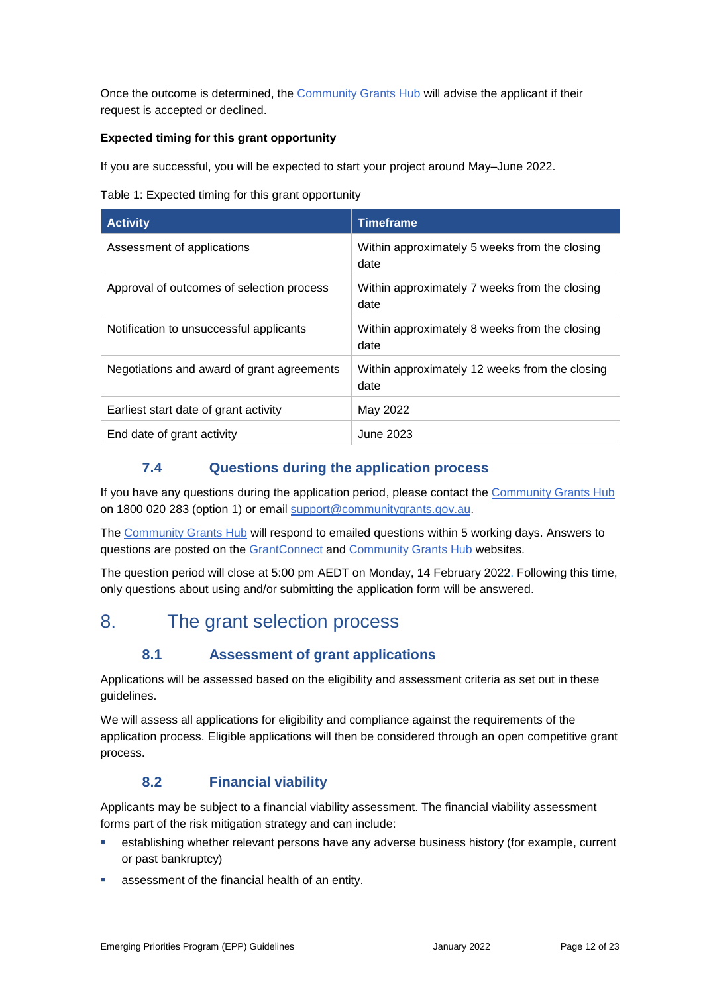Once the outcome is determined, the [Community Grants Hub](https://www.communitygrants.gov.au/) will advise the applicant if their request is accepted or declined.

### **Expected timing for this grant opportunity**

If you are successful, you will be expected to start your project around May–June 2022.

|  |  | Table 1: Expected timing for this grant opportunity |  |
|--|--|-----------------------------------------------------|--|
|  |  |                                                     |  |

| <b>Activity</b>                            | <b>Timeframe</b>                                       |
|--------------------------------------------|--------------------------------------------------------|
| Assessment of applications                 | Within approximately 5 weeks from the closing<br>date  |
| Approval of outcomes of selection process  | Within approximately 7 weeks from the closing<br>date  |
| Notification to unsuccessful applicants    | Within approximately 8 weeks from the closing<br>date  |
| Negotiations and award of grant agreements | Within approximately 12 weeks from the closing<br>date |
| Earliest start date of grant activity      | May 2022                                               |
| End date of grant activity                 | June 2023                                              |

# **7.4 Questions during the application process**

If you have any questions during the application period, please contact the [Community Grants Hub](https://www.communitygrants.gov.au/) on 1800 020 283 (option 1) or email [support@communitygrants.gov.au.](mailto:support@communitygrants.gov.au)

The [Community Grants Hub](https://www.communitygrants.gov.au/) will respond to emailed questions within 5 working days. Answers to questions are posted on the [GrantConnect](https://www.grants.gov.au/) and [Community Grants Hub](https://www.communitygrants.gov.au/) websites.

The question period will close at 5:00 pm AEDT on Monday, 14 February 2022. Following this time, only questions about using and/or submitting the application form will be answered.

# 8. The grant selection process

# **8.1 Assessment of grant applications**

Applications will be assessed based on the eligibility and assessment criteria as set out in these guidelines.

We will assess all applications for eligibility and compliance against the requirements of the application process. Eligible applications will then be considered through an open competitive grant process.

# **8.2 Financial viability**

Applicants may be subject to a financial viability assessment. The financial viability assessment forms part of the risk mitigation strategy and can include:

- establishing whether relevant persons have any adverse business history (for example, current or past bankruptcy)
- assessment of the financial health of an entity.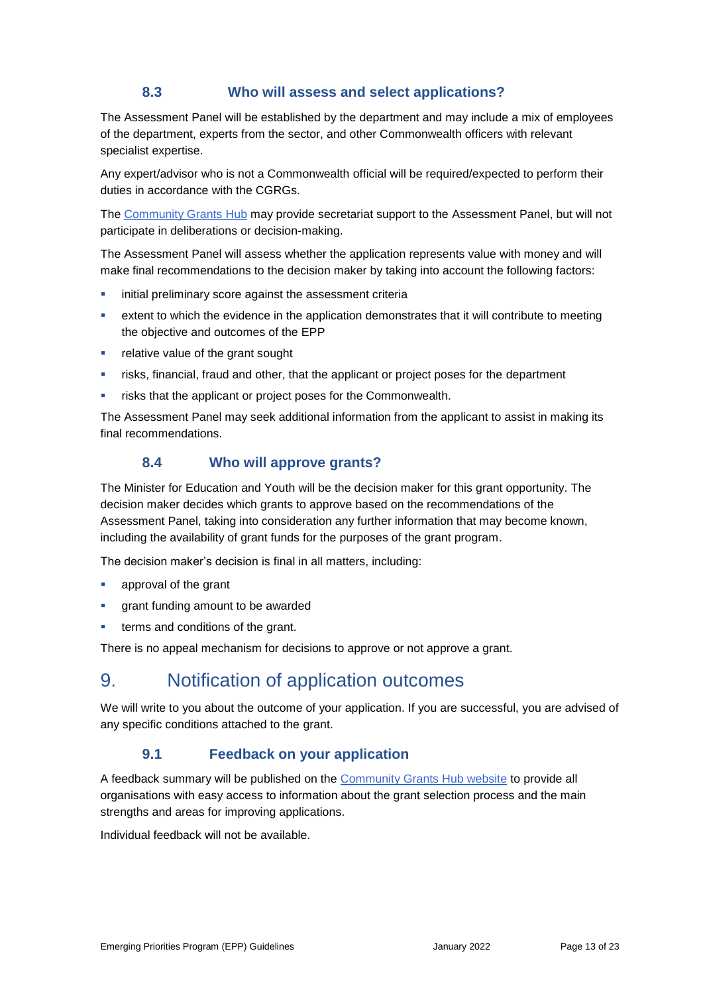# **8.3 Who will assess and select applications?**

The Assessment Panel will be established by the department and may include a mix of employees of the department, experts from the sector, and other Commonwealth officers with relevant specialist expertise.

Any expert/advisor who is not a Commonwealth official will be required/expected to perform their duties in accordance with the CGRGs.

The [Community Grants Hub](https://www.communitygrants.gov.au/) may provide secretariat support to the Assessment Panel, but will not participate in deliberations or decision-making.

The Assessment Panel will assess whether the application represents value with money and will make final recommendations to the decision maker by taking into account the following factors:

- **EXECT:** initial preliminary score against the assessment criteria
- extent to which the evidence in the application demonstrates that it will contribute to meeting the objective and outcomes of the EPP
- **•** relative value of the grant sought
- risks, financial, fraud and other, that the applicant or project poses for the department
- risks that the applicant or project poses for the Commonwealth.

The Assessment Panel may seek additional information from the applicant to assist in making its final recommendations.

# **8.4 Who will approve grants?**

The Minister for Education and Youth will be the decision maker for this grant opportunity. The decision maker decides which grants to approve based on the recommendations of the Assessment Panel, taking into consideration any further information that may become known, including the availability of grant funds for the purposes of the grant program.

The decision maker's decision is final in all matters, including:

- **approval of the grant**
- **qrant funding amount to be awarded**
- terms and conditions of the grant.

There is no appeal mechanism for decisions to approve or not approve a grant.

# 9. Notification of application outcomes

We will write to you about the outcome of your application. If you are successful, you are advised of any specific conditions attached to the grant.

# **9.1 Feedback on your application**

A feedback summary will be published on the [Community Grants Hub website](https://www.communitygrants.gov.au/) to provide all organisations with easy access to information about the grant selection process and the main strengths and areas for improving applications.

Individual feedback will not be available.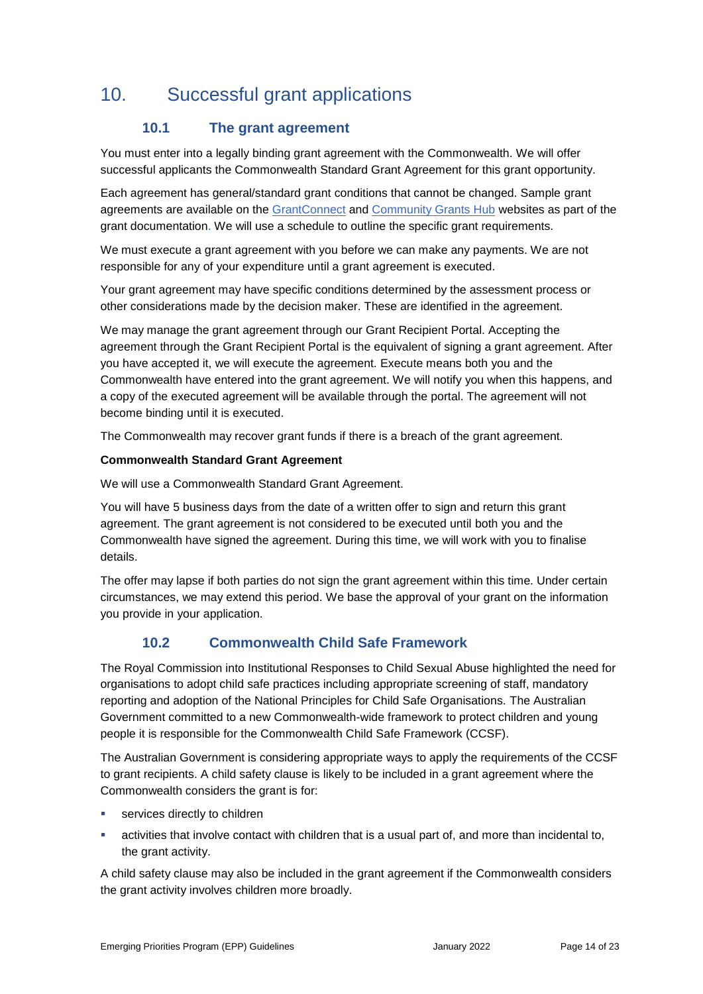# 10. Successful grant applications

# **10.1 The grant agreement**

You must enter into a legally binding grant agreement with the Commonwealth. We will offer successful applicants the Commonwealth Standard Grant Agreement for this grant opportunity.

Each agreement has general/standard grant conditions that cannot be changed. Sample grant agreements are available on the [GrantConnect](https://www.grants.gov.au/?event=public.home) and [Community Grants Hub](https://www.communitygrants.gov.au/) websites as part of the grant documentation. We will use a schedule to outline the specific grant requirements.

We must execute a grant agreement with you before we can make any payments. We are not responsible for any of your expenditure until a grant agreement is executed.

Your grant agreement may have specific conditions determined by the assessment process or other considerations made by the decision maker. These are identified in the agreement.

We may manage the grant agreement through our Grant Recipient Portal. Accepting the agreement through the Grant Recipient Portal is the equivalent of signing a grant agreement. After you have accepted it, we will execute the agreement. Execute means both you and the Commonwealth have entered into the grant agreement. We will notify you when this happens, and a copy of the executed agreement will be available through the portal. The agreement will not become binding until it is executed.

The Commonwealth may recover grant funds if there is a breach of the grant agreement.

### **Commonwealth Standard Grant Agreement**

We will use a Commonwealth Standard Grant Agreement.

You will have 5 business days from the date of a written offer to sign and return this grant agreement. The grant agreement is not considered to be executed until both you and the Commonwealth have signed the agreement. During this time, we will work with you to finalise details.

The offer may lapse if both parties do not sign the grant agreement within this time. Under certain circumstances, we may extend this period. We base the approval of your grant on the information you provide in your application.

# **10.2 Commonwealth Child Safe Framework**

The Royal Commission into Institutional Responses to Child Sexual Abuse highlighted the need for organisations to adopt child safe practices including appropriate screening of staff, mandatory reporting and adoption of the National Principles for Child Safe Organisations. The Australian Government committed to a new Commonwealth-wide framework to protect children and young people it is responsible for the Commonwealth Child Safe Framework (CCSF).

The Australian Government is considering appropriate ways to apply the requirements of the CCSF to grant recipients. A child safety clause is likely to be included in a grant agreement where the Commonwealth considers the grant is for:

- services directly to children
- activities that involve contact with children that is a usual part of, and more than incidental to, the grant activity.

A child safety clause may also be included in the grant agreement if the Commonwealth considers the grant activity involves children more broadly.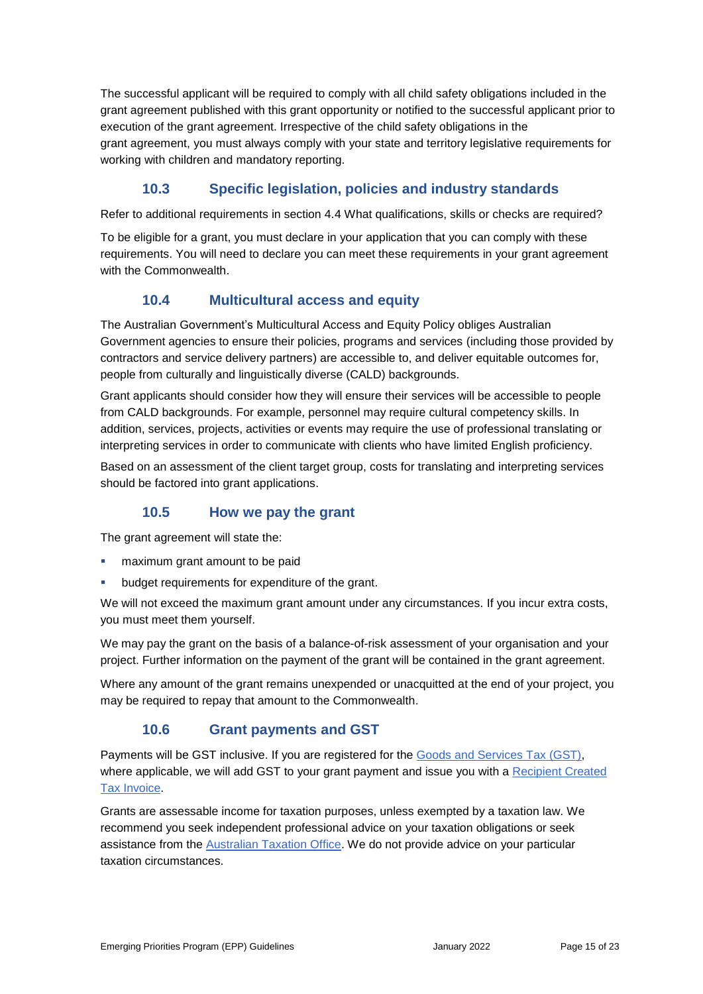The successful applicant will be required to comply with all child safety obligations included in the grant agreement published with this grant opportunity or notified to the successful applicant prior to execution of the grant agreement. Irrespective of the child safety obligations in the grant agreement, you must always comply with your state and territory legislative requirements for working with children and mandatory reporting.

# **10.3 Specific legislation, policies and industry standards**

Refer to additional requirements in section 4.4 What qualifications, skills or checks are required?

To be eligible for a grant, you must declare in your application that you can comply with these requirements. You will need to declare you can meet these requirements in your grant agreement with the Commonwealth.

# **10.4 Multicultural access and equity**

The Australian Government's Multicultural Access and Equity Policy obliges Australian Government agencies to ensure their policies, programs and services (including those provided by contractors and service delivery partners) are accessible to, and deliver equitable outcomes for, people from culturally and linguistically diverse (CALD) backgrounds.

Grant applicants should consider how they will ensure their services will be accessible to people from CALD backgrounds. For example, personnel may require cultural competency skills. In addition, services, projects, activities or events may require the use of professional translating or interpreting services in order to communicate with clients who have limited English proficiency.

Based on an assessment of the client target group, costs for translating and interpreting services should be factored into grant applications.

# **10.5 How we pay the grant**

The grant agreement will state the:

- maximum grant amount to be paid
- budget requirements for expenditure of the grant.

We will not exceed the maximum grant amount under any circumstances. If you incur extra costs, you must meet them yourself.

We may pay the grant on the basis of a balance-of-risk assessment of your organisation and your project. Further information on the payment of the grant will be contained in the grant agreement.

Where any amount of the grant remains unexpended or unacquitted at the end of your project, you may be required to repay that amount to the Commonwealth.

# **10.6 Grant payments and GST**

Payments will be GST inclusive. If you are registered for the [Goods and Services Tax \(GST\),](https://www.ato.gov.au/Business/GST/Registering-for-GST/) where applicable, we will add GST to your grant payment and issue you with a Recipient Created [Tax Invoice.](https://www.ato.gov.au/Forms/Recipient-created-tax-invoices/)

Grants are assessable income for taxation purposes, unless exempted by a taxation law. We recommend you seek independent professional advice on your taxation obligations or seek assistance from the [Australian Taxation Office.](https://www.ato.gov.au/) We do not provide advice on your particular taxation circumstances.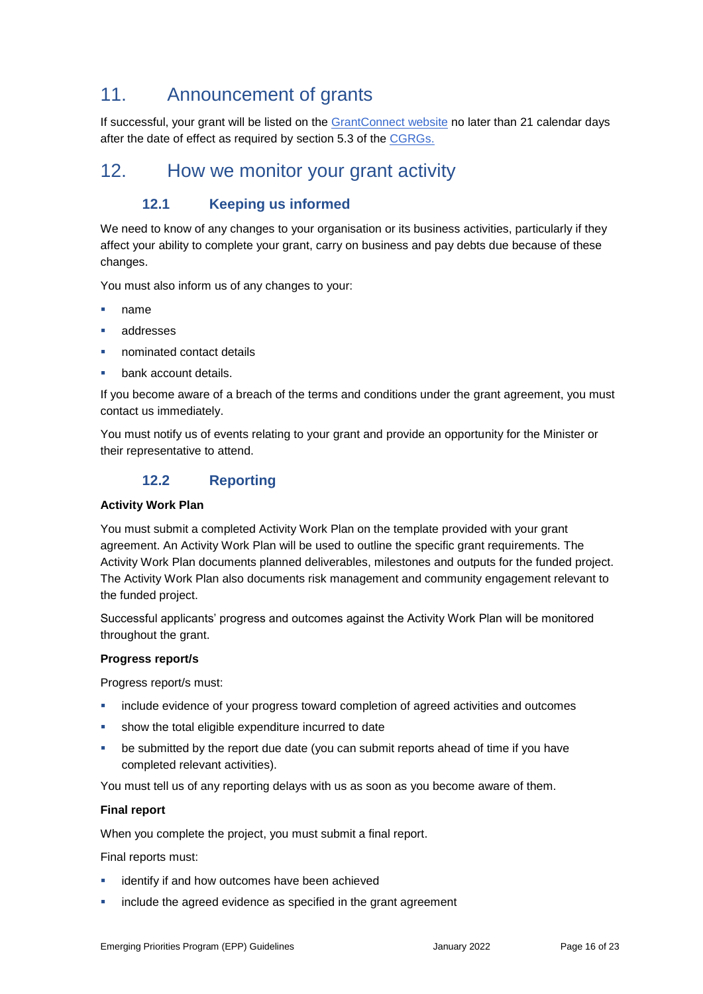# 11. Announcement of grants

If successful, your grant will be listed on the [GrantConnect website](http://www.grants.gov.au/) no later than 21 calendar days after the date of effect as required by section 5.3 of the [CGRGs.](https://finance.govcms.gov.au/sites/default/files/2019-11/commonwealth-grants-rules-and-guidelines.pdf)

# 12. How we monitor your grant activity

# **12.1 Keeping us informed**

We need to know of any changes to your organisation or its business activities, particularly if they affect your ability to complete your grant, carry on business and pay debts due because of these changes.

You must also inform us of any changes to your:

- name
- addresses
- nominated contact details
- bank account details.

If you become aware of a breach of the terms and conditions under the grant agreement, you must contact us immediately.

You must notify us of events relating to your grant and provide an opportunity for the Minister or their representative to attend.

# **12.2 Reporting**

### **Activity Work Plan**

You must submit a completed Activity Work Plan on the template provided with your grant agreement. An Activity Work Plan will be used to outline the specific grant requirements. The Activity Work Plan documents planned deliverables, milestones and outputs for the funded project. The Activity Work Plan also documents risk management and community engagement relevant to the funded project.

Successful applicants' progress and outcomes against the Activity Work Plan will be monitored throughout the grant.

### **Progress report/s**

Progress report/s must:

- include evidence of your progress toward completion of agreed activities and outcomes
- show the total eligible expenditure incurred to date
- be submitted by the report due date (you can submit reports ahead of time if you have completed relevant activities).

You must tell us of any reporting delays with us as soon as you become aware of them.

### **Final report**

When you complete the project, you must submit a final report.

Final reports must:

- identify if and how outcomes have been achieved
- include the agreed evidence as specified in the grant agreement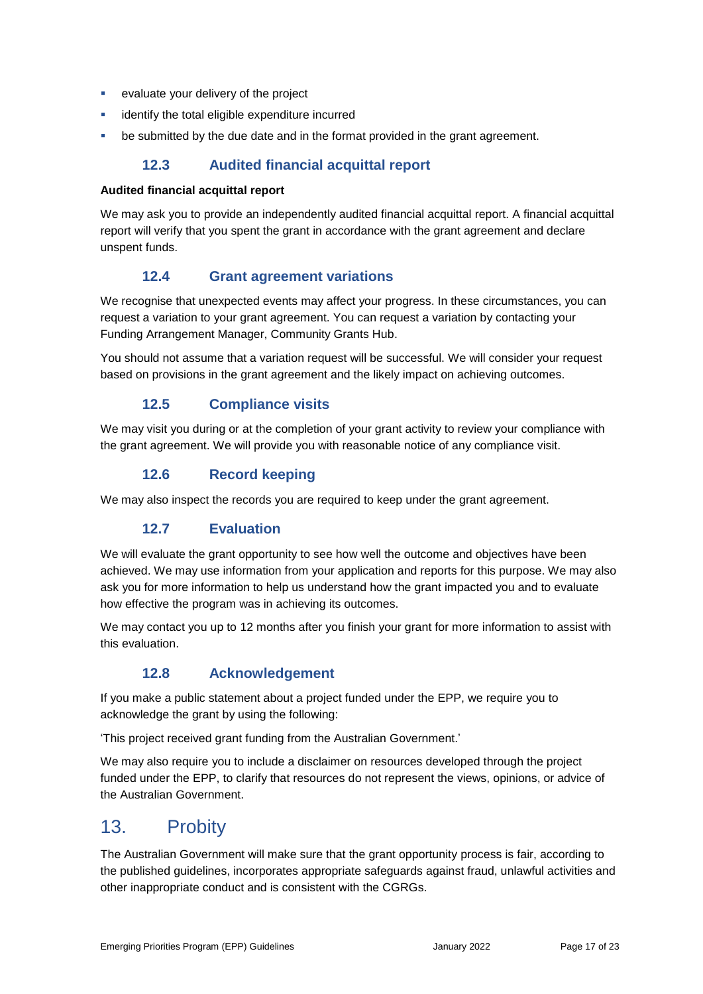- **EXECUTE:** evaluate your delivery of the project
- identify the total eligible expenditure incurred
- **•** be submitted by the due date and in the format provided in the grant agreement.

# **12.3 Audited financial acquittal report**

### **Audited financial acquittal report**

We may ask you to provide an independently audited financial acquittal report. A financial acquittal report will verify that you spent the grant in accordance with the grant agreement and declare unspent funds.

### **12.4 Grant agreement variations**

We recognise that unexpected events may affect your progress. In these circumstances, you can request a variation to your grant agreement. You can request a variation by contacting your Funding Arrangement Manager, Community Grants Hub.

You should not assume that a variation request will be successful. We will consider your request based on provisions in the grant agreement and the likely impact on achieving outcomes.

# **12.5 Compliance visits**

We may visit you during or at the completion of your grant activity to review your compliance with the grant agreement. We will provide you with reasonable notice of any compliance visit.

### **12.6 Record keeping**

We may also inspect the records you are required to keep under the grant agreement.

### **12.7 Evaluation**

We will evaluate the grant opportunity to see how well the outcome and objectives have been achieved. We may use information from your application and reports for this purpose. We may also ask you for more information to help us understand how the grant impacted you and to evaluate how effective the program was in achieving its outcomes.

We may contact you up to 12 months after you finish your grant for more information to assist with this evaluation.

# **12.8 Acknowledgement**

If you make a public statement about a project funded under the EPP, we require you to acknowledge the grant by using the following:

'This project received grant funding from the Australian Government.'

We may also require you to include a disclaimer on resources developed through the project funded under the EPP, to clarify that resources do not represent the views, opinions, or advice of the Australian Government.

# 13. Probity

The Australian Government will make sure that the grant opportunity process is fair, according to the published guidelines, incorporates appropriate safeguards against fraud, unlawful activities and other inappropriate conduct and is consistent with the CGRGs.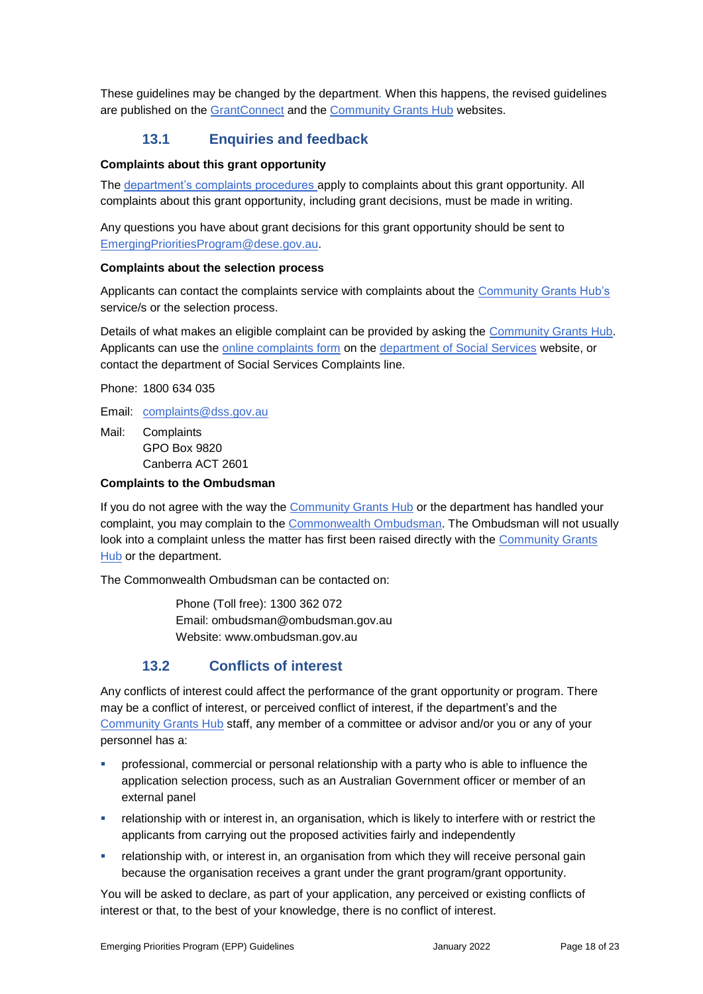These guidelines may be changed by the department. When this happens, the revised guidelines are published on the [GrantConnect](https://www.grants.gov.au/?event=public.GO.list) and the [Community Grants Hub](https://www.communitygrants.gov.au/) websites.

### **13.1 Enquiries and feedback**

#### **Complaints about this grant opportunity**

The [department's complaints procedures a](https://www.dese.gov.au/about-us/contact-us/complaints)pply to complaints about this grant opportunity. All complaints about this grant opportunity, including grant decisions, must be made in writing.

Any questions you have about grant decisions for this grant opportunity should be sent to [EmergingPrioritiesProgram@dese.gov.au.](mailto:EmergingPrioritiesProgram@dese.gov.au)

#### **Complaints about the selection process**

Applicants can contact the complaints service with complaints about the [Community Grants Hub's](https://www.communitygrants.gov.au/) service/s or the selection process.

Details of what makes an eligible complaint can be provided by asking the [Community Grants Hub.](https://www.communitygrants.gov.au/) Applicants can use the [online complaints form](https://www.dss.gov.au/contact/feedback-compliments-complaints-and-enquiries/feedback-form) on the [department of Social Services](https://www.dss.gov.au/contact/feedback-compliments-complaints-and-enquiries/complaints-page) website, or contact the department of Social Services Complaints line.

Phone: 1800 634 035

Email: [complaints@dss.gov.au](mailto:complaints@dss.gov.au)

Mail: Complaints GPO Box 9820 Canberra ACT 2601

### **Complaints to the Ombudsman**

If you do not agree with the way the [Community Grants Hub](https://www.communitygrants.gov.au/) or the department has handled your complaint, you may complain to the [Commonwealth Ombudsman.](http://www.ombudsman.gov.au/) The Ombudsman will not usually look into a complaint unless the matter has first been raised directly with the [Community Grants](https://www.communitygrants.gov.au/)  [Hub](https://www.communitygrants.gov.au/) or the department.

The Commonwealth Ombudsman can be contacted on:

Phone (Toll free): 1300 362 072 Email: [ombudsman@ombudsman.gov.au](mailto:ombudsman@ombudsman.gov.au) Website: [www.ombudsman.gov.au](http://www.ombudsman.gov.au/)

### **13.2 Conflicts of interest**

Any conflicts of interest could affect the performance of the grant opportunity or program. There may be a [conflict of interest,](http://www.apsc.gov.au/publications-and-media/current-publications/aps-values-and-code-of-conduct-in-practice/conflict-of-interest) or perceived conflict of interest, if the department's and the [Community Grants Hub](https://www.communitygrants.gov.au/) staff, any member of a committee or advisor and/or you or any of your personnel has a:

- professional, commercial or personal relationship with a party who is able to influence the application selection process, such as an Australian Government officer or member of an external panel
- relationship with or interest in, an organisation, which is likely to interfere with or restrict the applicants from carrying out the proposed activities fairly and independently
- **•** relationship with, or interest in, an organisation from which they will receive personal gain because the organisation receives a grant under the grant program/grant opportunity.

You will be asked to declare, as part of your application, any perceived or existing conflicts of interest or that, to the best of your knowledge, there is no conflict of interest.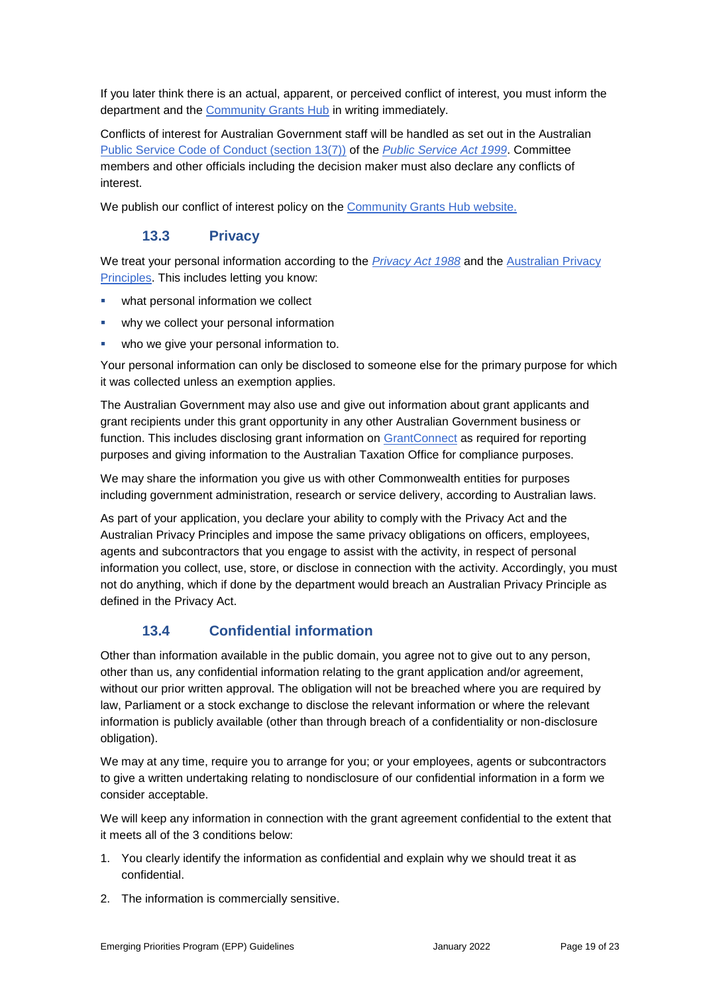If you later think there is an actual, apparent, or perceived conflict of interest, you must inform the department and the [Community Grants Hub](https://www.communitygrants.gov.au/) in writing immediately.

Conflicts of interest for Australian Government staff will be handled as set out in the Australian [Public Service Code of Conduct \(section 13\(7\)\)](http://www8.austlii.edu.au/cgi-bin/viewdoc/au/legis/cth/consol_act/psa1999152/s13.html) of the *[Public Service Act 1999](https://www.legislation.gov.au/Series/C2004A00538)*. Committee members and other officials including the decision maker must also declare any conflicts of interest.

We publish our conflict of interest policy on the [Community Grants Hub website.](https://www.communitygrants.gov.au/open-grants/how-apply/conflict-interest-policy-commonwealth-government-employee)

# **13.3 Privacy**

We treat your personal information according to the *[Privacy Act 1988](https://www.legislation.gov.au/Details/C2021C00452)* and the [Australian Privacy](https://www.oaic.gov.au/privacy-law/privacy-act/australian-privacy-principles)  [Principles.](https://www.oaic.gov.au/privacy-law/privacy-act/australian-privacy-principles) This includes letting you know:

- what personal information we collect
- why we collect your personal information
- who we give your personal information to.

Your personal information can only be disclosed to someone else for the primary purpose for which it was collected unless an exemption applies.

The Australian Government may also use and give out information about grant applicants and grant recipients under this grant opportunity in any other Australian Government business or function. This includes disclosing grant information on [GrantConnect](http://www.grants.gov.au/) as required for reporting purposes and giving information to the Australian Taxation Office for compliance purposes.

We may share the information you give us with other Commonwealth entities for purposes including government administration, research or service delivery, according to Australian laws.

As part of your application, you declare your ability to comply with the Privacy Act and the Australian Privacy Principles and impose the same privacy obligations on officers, employees, agents and subcontractors that you engage to assist with the activity, in respect of personal information you collect, use, store, or disclose in connection with the activity. Accordingly, you must not do anything, which if done by the department would breach an Australian Privacy Principle as defined in the Privacy Act.

# **13.4 Confidential information**

Other than information available in the public domain, you agree not to give out to any person, other than us, any confidential information relating to the grant application and/or agreement, without our prior written approval. The obligation will not be breached where you are required by law, Parliament or a stock exchange to disclose the relevant information or where the relevant information is publicly available (other than through breach of a confidentiality or non-disclosure obligation).

We may at any time, require you to arrange for you; or your employees, agents or subcontractors to give a written undertaking relating to nondisclosure of our confidential information in a form we consider acceptable.

We will keep any information in connection with the grant agreement confidential to the extent that it meets all of the 3 conditions below:

- 1. You clearly identify the information as confidential and explain why we should treat it as confidential.
- 2. The information is commercially sensitive.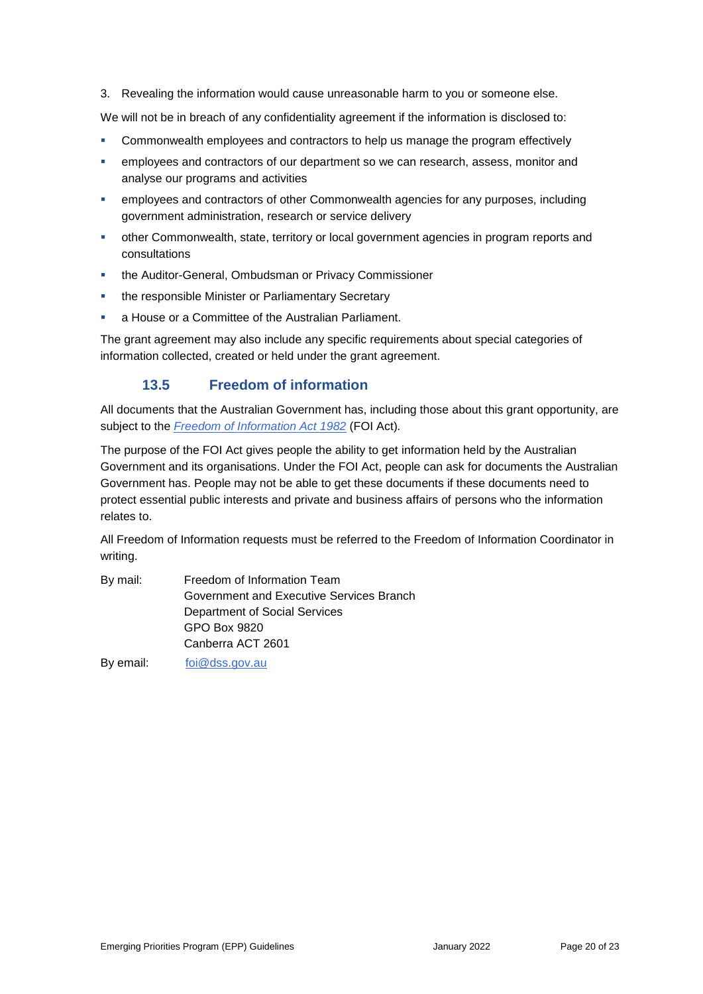3. Revealing the information would cause unreasonable harm to you or someone else.

We will not be in breach of any confidentiality agreement if the information is disclosed to:

- Commonwealth employees and contractors to help us manage the program effectively
- employees and contractors of our department so we can research, assess, monitor and analyse our programs and activities
- employees and contractors of other Commonwealth agencies for any purposes, including government administration, research or service delivery
- other Commonwealth, state, territory or local government agencies in program reports and consultations
- the Auditor-General, Ombudsman or Privacy Commissioner
- **the responsible Minister or Parliamentary Secretary**
- a House or a Committee of the Australian Parliament.

The grant agreement may also include any specific requirements about special categories of information collected, created or held under the grant agreement.

# **13.5 Freedom of information**

All documents that the Australian Government has, including those about this grant opportunity, are subject to the *[Freedom of Information Act 1982](https://www.legislation.gov.au/Series/C2004A02562)* (FOI Act)*.*

The purpose of the FOI Act gives people the ability to get information held by the Australian Government and its organisations. Under the FOI Act, people can ask for documents the Australian Government has. People may not be able to get these documents if these documents need to protect essential public interests and private and business affairs of persons who the information relates to.

All Freedom of Information requests must be referred to the Freedom of Information Coordinator in writing.

| By mail:  | Freedom of Information Team              |
|-----------|------------------------------------------|
|           | Government and Executive Services Branch |
|           | Department of Social Services            |
|           | GPO Box 9820                             |
|           | Canberra ACT 2601                        |
| By email: | foi@dss.gov.au                           |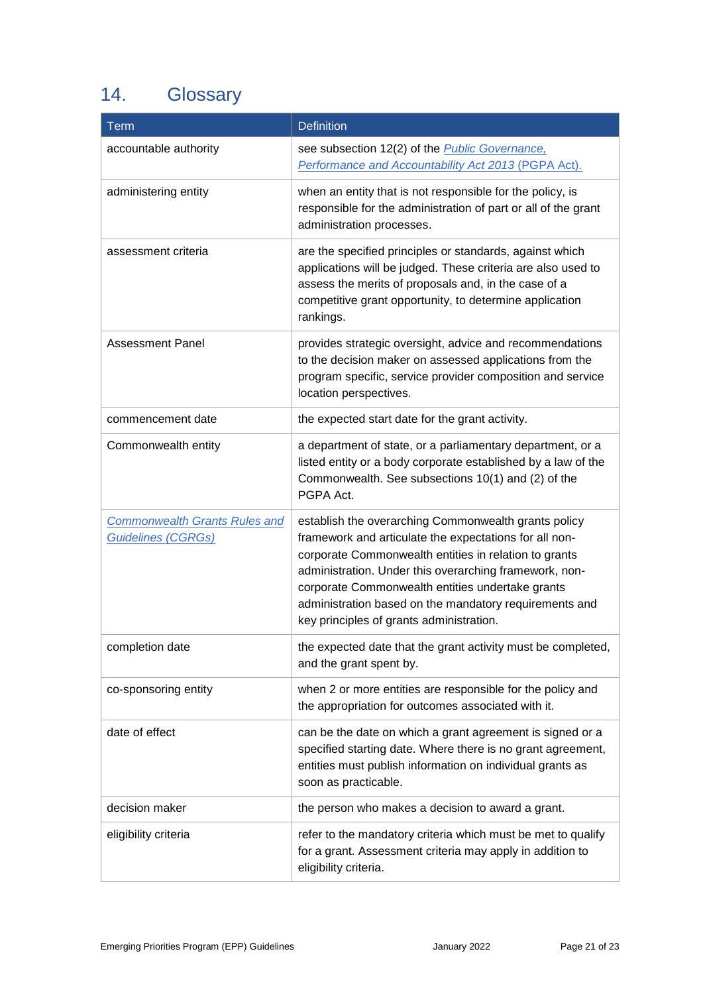# 14. Glossary

| <b>Term</b>                                                       | <b>Definition</b>                                                                                                                                                                                                                                                                                                                                                                           |
|-------------------------------------------------------------------|---------------------------------------------------------------------------------------------------------------------------------------------------------------------------------------------------------------------------------------------------------------------------------------------------------------------------------------------------------------------------------------------|
| accountable authority                                             | see subsection 12(2) of the <i>Public Governance</i> ,<br>Performance and Accountability Act 2013 (PGPA Act).                                                                                                                                                                                                                                                                               |
| administering entity                                              | when an entity that is not responsible for the policy, is<br>responsible for the administration of part or all of the grant<br>administration processes.                                                                                                                                                                                                                                    |
| assessment criteria                                               | are the specified principles or standards, against which<br>applications will be judged. These criteria are also used to<br>assess the merits of proposals and, in the case of a<br>competitive grant opportunity, to determine application<br>rankings.                                                                                                                                    |
| <b>Assessment Panel</b>                                           | provides strategic oversight, advice and recommendations<br>to the decision maker on assessed applications from the<br>program specific, service provider composition and service<br>location perspectives.                                                                                                                                                                                 |
| commencement date                                                 | the expected start date for the grant activity.                                                                                                                                                                                                                                                                                                                                             |
| Commonwealth entity                                               | a department of state, or a parliamentary department, or a<br>listed entity or a body corporate established by a law of the<br>Commonwealth. See subsections 10(1) and (2) of the<br>PGPA Act.                                                                                                                                                                                              |
| <b>Commonwealth Grants Rules and</b><br><b>Guidelines (CGRGs)</b> | establish the overarching Commonwealth grants policy<br>framework and articulate the expectations for all non-<br>corporate Commonwealth entities in relation to grants<br>administration. Under this overarching framework, non-<br>corporate Commonwealth entities undertake grants<br>administration based on the mandatory requirements and<br>key principles of grants administration. |
| completion date                                                   | the expected date that the grant activity must be completed,<br>and the grant spent by.                                                                                                                                                                                                                                                                                                     |
| co-sponsoring entity                                              | when 2 or more entities are responsible for the policy and<br>the appropriation for outcomes associated with it.                                                                                                                                                                                                                                                                            |
| date of effect                                                    | can be the date on which a grant agreement is signed or a<br>specified starting date. Where there is no grant agreement,<br>entities must publish information on individual grants as<br>soon as practicable.                                                                                                                                                                               |
| decision maker                                                    | the person who makes a decision to award a grant.                                                                                                                                                                                                                                                                                                                                           |
| eligibility criteria                                              | refer to the mandatory criteria which must be met to qualify<br>for a grant. Assessment criteria may apply in addition to<br>eligibility criteria.                                                                                                                                                                                                                                          |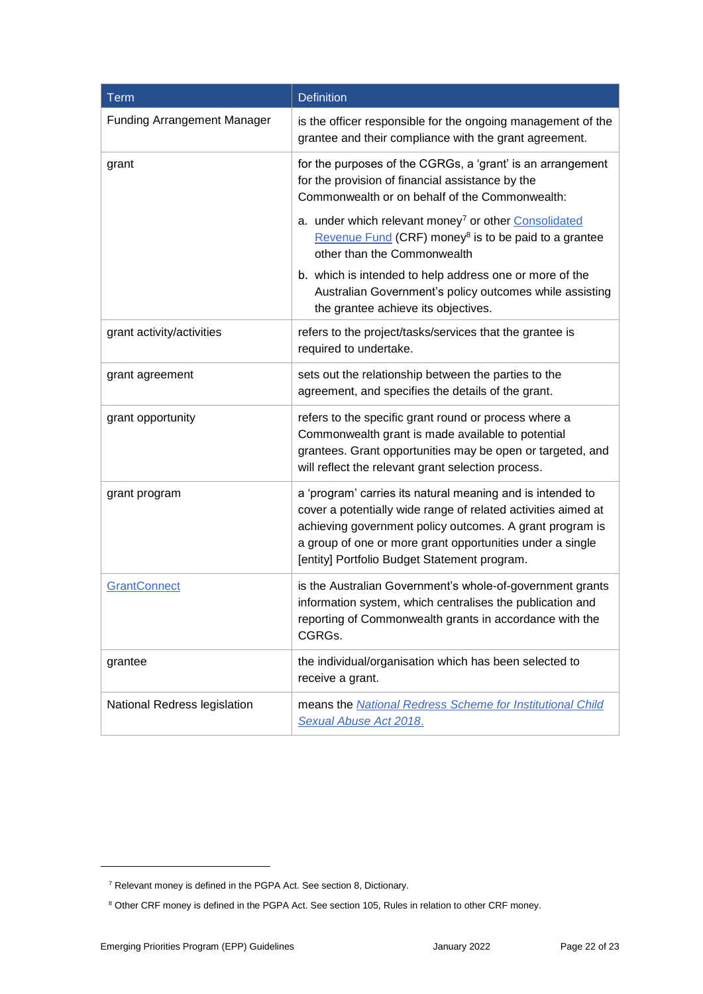| Term                               | <b>Definition</b>                                                                                                                                                                                                                                                                                    |
|------------------------------------|------------------------------------------------------------------------------------------------------------------------------------------------------------------------------------------------------------------------------------------------------------------------------------------------------|
| <b>Funding Arrangement Manager</b> | is the officer responsible for the ongoing management of the<br>grantee and their compliance with the grant agreement.                                                                                                                                                                               |
| grant                              | for the purposes of the CGRGs, a 'grant' is an arrangement<br>for the provision of financial assistance by the<br>Commonwealth or on behalf of the Commonwealth:                                                                                                                                     |
|                                    | a. under which relevant money <sup>7</sup> or other Consolidated<br>Revenue Fund (CRF) money <sup>8</sup> is to be paid to a grantee<br>other than the Commonwealth                                                                                                                                  |
|                                    | b. which is intended to help address one or more of the<br>Australian Government's policy outcomes while assisting<br>the grantee achieve its objectives.                                                                                                                                            |
| grant activity/activities          | refers to the project/tasks/services that the grantee is<br>required to undertake.                                                                                                                                                                                                                   |
| grant agreement                    | sets out the relationship between the parties to the<br>agreement, and specifies the details of the grant.                                                                                                                                                                                           |
| grant opportunity                  | refers to the specific grant round or process where a<br>Commonwealth grant is made available to potential<br>grantees. Grant opportunities may be open or targeted, and<br>will reflect the relevant grant selection process.                                                                       |
| grant program                      | a 'program' carries its natural meaning and is intended to<br>cover a potentially wide range of related activities aimed at<br>achieving government policy outcomes. A grant program is<br>a group of one or more grant opportunities under a single<br>[entity] Portfolio Budget Statement program. |
| <b>GrantConnect</b>                | is the Australian Government's whole-of-government grants<br>information system, which centralises the publication and<br>reporting of Commonwealth grants in accordance with the<br>CGRGs.                                                                                                          |
| grantee                            | the individual/organisation which has been selected to<br>receive a grant.                                                                                                                                                                                                                           |
| National Redress legislation       | means the National Redress Scheme for Institutional Child<br>Sexual Abuse Act 2018.                                                                                                                                                                                                                  |

-

<sup>7</sup> Relevant money is defined in the PGPA Act. See section 8, Dictionary.

<sup>&</sup>lt;sup>8</sup> Other CRF money is defined in the PGPA Act. See section 105, Rules in relation to other CRF money.